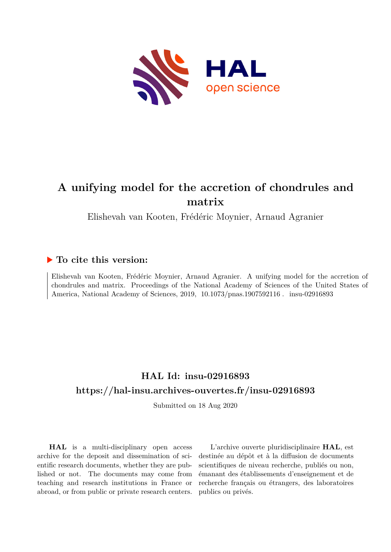

## **A unifying model for the accretion of chondrules and matrix**

Elishevah van Kooten, Frédéric Moynier, Arnaud Agranier

### **To cite this version:**

Elishevah van Kooten, Frédéric Moynier, Arnaud Agranier. A unifying model for the accretion of chondrules and matrix. Proceedings of the National Academy of Sciences of the United States of America, National Academy of Sciences, 2019, 10.1073/pnas.1907592116. insu-02916893

## **HAL Id: insu-02916893 <https://hal-insu.archives-ouvertes.fr/insu-02916893>**

Submitted on 18 Aug 2020

**HAL** is a multi-disciplinary open access archive for the deposit and dissemination of scientific research documents, whether they are published or not. The documents may come from teaching and research institutions in France or abroad, or from public or private research centers.

L'archive ouverte pluridisciplinaire **HAL**, est destinée au dépôt et à la diffusion de documents scientifiques de niveau recherche, publiés ou non, émanant des établissements d'enseignement et de recherche français ou étrangers, des laboratoires publics ou privés.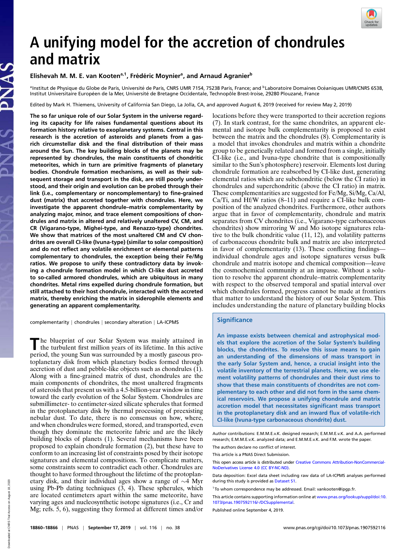

# **A unifying model for the accretion of chondrules and matrix**

#### **Elishevah M. M. E. van Kootena,1, Fred´ eric Moynier ´ a , and Arnaud Agranier<sup>b</sup>**

<sup>a</sup>Institut de Physique du Globe de Paris, Université de Paris, CNRS UMR 7154, 75238 Paris, France; and <sup>b</sup>Laboratoire Domaines Océaniques UMR/CNRS 6538, Institut Universitaire Européen de la Mer, Université de Bretagne Occidentale, Technopôle Brest-Iroise, 29280 Plouzané, France

Edited by Mark H. Thiemens, University of California San Diego, La Jolla, CA, and approved August 6, 2019 (received for review May 2, 2019)

**The so far unique role of our Solar System in the universe regarding its capacity for life raises fundamental questions about its formation history relative to exoplanetary systems. Central in this research is the accretion of asteroids and planets from a gasrich circumstellar disk and the final distribution of their mass around the Sun. The key building blocks of the planets may be represented by chondrules, the main constituents of chondritic meteorites, which in turn are primitive fragments of planetary bodies. Chondrule formation mechanisms, as well as their subsequent storage and transport in the disk, are still poorly understood, and their origin and evolution can be probed through their link (i.e., complementary or noncomplementary) to fine-grained dust (matrix) that accreted together with chondrules. Here, we investigate the apparent chondrule–matrix complementarity by analyzing major, minor, and trace element compositions of chondrules and matrix in altered and relatively unaltered CV, CM, and CR (Vigarano-type, Mighei-type, and Renazzo-type) chondrites. We show that matrices of the most unaltered CM and CV chondrites are overall CI-like (Ivuna-type) (similar to solar composition) and do not reflect any volatile enrichment or elemental patterns complementary to chondrules, the exception being their Fe/Mg ratios. We propose to unify these contradictory data by invoking a chondrule formation model in which CI-like dust accreted to so-called armored chondrules, which are ubiquitous in many chondrites. Metal rims expelled during chondrule formation, but still attached to their host chondrule, interacted with the accreted matrix, thereby enriching the matrix in siderophile elements and generating an apparent complementarity.**

complementarity | chondrules | secondary alteration | LA-ICPMS

The blueprint of our Solar System was mainly attained in the turbulent first million years of its lifetime. In this active he blueprint of our Solar System was mainly attained in period, the young Sun was surrounded by a mostly gaseous protoplanetary disk from which planetary bodies formed through accretion of dust and pebble-like objects such as chondrules (1). Along with a fine-grained matrix of dust, chondrules are the main components of chondrites, the most unaltered fragments of asteroids that present us with a 4.5-billion-year window in time toward the early evolution of the Solar System. Chondrules are submillimeter- to centimeter-sized silicate spherules that formed in the protoplanetary disk by thermal processing of preexisting nebular dust. To date, there is no consensus on how, where, and when chondrules were formed, stored, and transported, even though they dominate the meteorite fabric and are the likely building blocks of planets (1). Several mechanisms have been proposed to explain chondrule formation (2), but these have to conform to an increasing list of constraints posed by their isotope signatures and elemental compositions. To complicate matters, some constraints seem to contradict each other. Chondrules are thought to have formed throughout the lifetime of the protoplanetary disk, and their individual ages show a range of ∼4 Myr using Pb-Pb dating techniques (3, 4). These spherules, which are located centimeters apart within the same meteorite, have varying ages and nucleosynthetic isotope signatures (i.e., Cr and Mg; refs. 5, 6), suggesting they formed at different times and/or

locations before they were transported to their accretion regions (7). In stark contrast, for the same chondrites, an apparent elemental and isotope bulk complementarity is proposed to exist between the matrix and the chondrules (8). Complementarity is a model that invokes chondrules and matrix within a chondrite group to be genetically related and formed from a single, initially CI-like (i.e., and Ivuna-type chondrite that is compositionally similar to the Sun's photosphere) reservoir. Elements lost during chondrule formation are reabsorbed by CI-like dust, generating elemental ratios which are subchondritic (below the CI ratio) in chondrules and superchondritic (above the CI ratio) in matrix. These complementarities are suggested for Fe/Mg, Si/Mg, Ca/Al, Ca/Ti, and Hf/W ratios (8–11) and require a CI-like bulk composition of the analyzed chondrites. Furthermore, other authors argue that in favor of complementarity, chondrule and matrix separates from CV chondrites (i.e., Vigarano-type carbonaceous chondrites) show mirroring W and Mo isotope signatures relative to the bulk chondritic value (11, 12), and volatility patterns of carbonaceous chondrite bulk and matrix are also interpreted in favor of complementarity (13). These conflicting findings individual chondrule ages and isotope signatures versus bulk chondrule and matrix isotope and chemical composition—leave the cosmochemical community at an impasse. Without a solution to resolve the apparent chondrule–matrix complementarity with respect to the observed temporal and spatial interval over which chondrules formed, progress cannot be made at frontiers that matter to understand the history of our Solar System. This includes understanding the nature of planetary building blocks

#### **Significance**

**An impasse exists between chemical and astrophysical models that explore the accretion of the Solar System's building blocks, the chondrites. To resolve this issue means to gain an understanding of the dimensions of mass transport in the early Solar System and, hence, a crucial insight into the volatile inventory of the terrestrial planets. Here, we use element volatility patterns of chondrules and their dust rims to show that these main constituents of chondrites are not complementary to each other and did not form in the same chemical reservoirs. We propose a unifying chondrule and matrix accretion model that necessitates significant mass transport in the protoplanetary disk and an inward flux of volatile-rich CI-like (Ivuna-type carbonaceous chondrite) dust.**

Author contributions: E.M.M.E.v.K. designed research; E.M.M.E.v.K. and A.A. performed research; E.M.M.E.v.K. analyzed data; and E.M.M.E.v.K. and F.M. wrote the paper. The authors declare no conflict of interest.

This article is a PNAS Direct Submission.

This open access article is distributed under [Creative Commons Attribution-NonCommercial-](https://creativecommons.org/licenses/by-nc-nd/4.0/)[NoDerivatives License 4.0 \(CC BY-NC-ND\).](https://creativecommons.org/licenses/by-nc-nd/4.0/)

Data deposition: Excel data sheet including raw data of LA-ICPMS analyses performed during this study is provided as [Dataset S1.](https://www.pnas.org/lookup/suppl/doi:10.1073/pnas.1907592116/-/DCSupplemental)

<sup>1</sup> To whom correspondence may be addressed. Email: [vankooten@ipgp.fr.](mailto:vankooten@ipgp.fr)

This article contains supporting information online at [www.pnas.org/lookup/suppl/doi:10.](https://www.pnas.org/lookup/suppl/doi:10.1073/pnas.1907592116/-/DCSupplemental) [1073/pnas.1907592116/-/DCSupplemental.](https://www.pnas.org/lookup/suppl/doi:10.1073/pnas.1907592116/-/DCSupplemental)y

Published online September 4, 2019.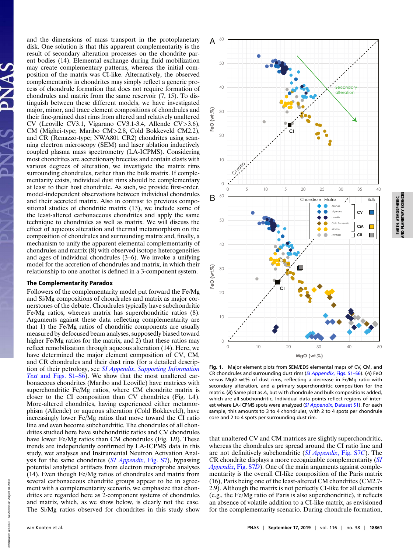and the dimensions of mass transport in the protoplanetary disk. One solution is that this apparent complementarity is the result of secondary alteration processes on the chondrite parent bodies (14). Elemental exchange during fluid mobilization may create complementary patterns, whereas the initial composition of the matrix was CI-like. Alternatively, the observed complementarity in chondrites may simply reflect a generic process of chondrule formation that does not require formation of chondrules and matrix from the same reservoir (7, 15). To distinguish between these different models, we have investigated major, minor, and trace element compositions of chondrules and their fine-grained dust rims from altered and relatively unaltered CV (Leoville CV3.1, Vigarano CV3.1-3.4, Allende CV>3.6), CM (Mighei-type; Maribo CM>2.8, Cold Bokkeveld CM2.2), and CR (Renazzo-type; NWA801 CR2) chondrites using scanning electron microscopy (SEM) and laser ablation inductively coupled plasma mass spectrometry (LA-ICPMS). Considering most chondrites are accretionary breccias and contain clasts with various degrees of alteration, we investigate the matrix rims surrounding chondrules, rather than the bulk matrix. If complementarity exists, individual dust rims should be complementary at least to their host chondrule. As such, we provide first-order, model-independent observations between individual chondrules and their accreted matrix. Also in contrast to previous compositional studies of chondritic matrix (13), we include some of the least-altered carbonaceous chondrites and apply the same technique to chondrules as well as matrix. We will discuss the effect of aqueous alteration and thermal metamorphism on the composition of chondrules and surrounding matrix and, finally, a mechanism to unify the apparent elemental complementarity of chondrules and matrix (8) with observed isotope heterogeneities and ages of individual chondrules (3–6). We invoke a unifying model for the accretion of chondrules and matrix, in which their relationship to one another is defined in a 3-component system.

#### The Complementarity Paradox

Followers of the complementarity model put forward the Fe/Mg and Si/Mg compositions of chondrules and matrix as major cornerstones of the debate. Chondrules typically have subchondritic Fe/Mg ratios, whereas matrix has superchondritic ratios (8). Arguments against these data reflecting complementarity are that 1) the Fe/Mg ratios of chondritic components are usually measured by defocused beam analyses, supposedly biased toward higher Fe/Mg ratios for the matrix, and  $\overline{2}$ ) that these ratios may reflect remobilization through aqueous alteration (14). Here, we have determined the major element composition of CV, CM, and CR chondrules and their dust rims (for a detailed description of their petrology, see *SI Appendix*, *[Supporting Information](https://www.pnas.org/lookup/suppl/doi:10.1073/pnas.1907592116/-/DCSupplemental) Text* [and Figs. S1–S6\)](https://www.pnas.org/lookup/suppl/doi:10.1073/pnas.1907592116/-/DCSupplemental). We show that the most unaltered carbonaceous chondrites (Maribo and Leoville) have matrices with superchondritic Fe/Mg ratios, where CM chondrite matrix is closer to the CI composition than CV chondrites (Fig. 1*A*). More-altered chondrites, having experienced either metamorphism (Allende) or aqueous alteration (Cold Bokkeveld), have increasingly lower Fe/Mg ratios that move toward the CI ratio line and even become subchondritic. The chondrules of all chondrites studied here have subchondritic ratios and CV chondrules have lower Fe/Mg ratios than CM chondrules (Fig. 1*B*). These trends are independently confirmed by LA-ICPMS data in this study, wet analyses and Instrumental Neutron Activation Analysis for the same chondrites (*[SI Appendix](https://www.pnas.org/lookup/suppl/doi:10.1073/pnas.1907592116/-/DCSupplemental)*, Fig. S7), bypassing potential analytical artifacts from electron microprobe analyses (14). Even though Fe/Mg ratios of chondrules and matrix from several carbonaceous chondrite groups appear to be in agreement with a complementarity scenario, we emphasize that chondrites are regarded here as 2-component systems of chondrules and matrix, which, as we show below, is clearly not the case. The Si/Mg ratios observed for chondrites in this study show



**Fig. 1.** Major element plots from SEM/EDS elemental maps of CV, CM, and CR chondrules and surrounding dust rims (*SI Appendix*[, Figs. S1–S6\)](https://www.pnas.org/lookup/suppl/doi:10.1073/pnas.1907592116/-/DCSupplemental). (*A*) FeO versus MgO wt% of dust rims, reflecting a decrease in Fe/Mg ratio with secondary alteration, and a primary superchondritic composition for the matrix. (*B*) Same plot as *A*, but with chondrule and bulk compositions added, which are all subchondritic. Individual data points reflect regions of interest where LA-ICPMS spots were analyzed (*[SI Appendix](https://www.pnas.org/lookup/suppl/doi:10.1073/pnas.1907592116/-/DCSupplemental)*, Dataset S1). For each sample, this amounts to 3 to 4 chondrules, with 2 to 4 spots per chondrule core and 2 to 4 spots per surrounding dust rim.

that unaltered CV and CM matrices are slightly superchondritic, whereas the chondrules are spread around the CI ratio line and are not definitively subchondritic (*[SI Appendix](https://www.pnas.org/lookup/suppl/doi:10.1073/pnas.1907592116/-/DCSupplemental)*, Fig. S7*C*). The CR chondrite displays a more recognizable complementarity (*[SI](https://www.pnas.org/lookup/suppl/doi:10.1073/pnas.1907592116/-/DCSupplemental) [Appendix](https://www.pnas.org/lookup/suppl/doi:10.1073/pnas.1907592116/-/DCSupplemental)*, Fig. S7*D*). One of the main arguments against complementarity is the overall CI-like composition of the Paris matrix (16), Paris being one of the least-altered CM chondrites (CM2.7- 2.9). Although the matrix is not perfectly CI-like for all elements (e.g., the Fe/Mg ratio of Paris is also superchondritic), it reflects an absence of volatile addition to a CI-like matrix, as envisioned for the complementarity scenario. During chondrule formation,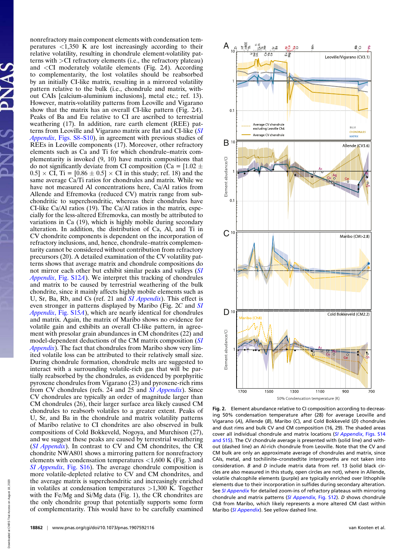nonrefractory main component elements with condensation temperatures  $\langle 1,350 \rangle$  K are lost increasingly according to their relative volatility, resulting in chondrule element-volatility patterns with >CI refractory elements (i.e., the refractory plateau) and <CI moderately volatile elements (Fig. 2*A*). According to complementarity, the lost volatiles should be reabsorbed by an initially CI-like matrix, resulting in a mirrored volatility pattern relative to the bulk (i.e., chondrule and matrix, without CAIs [calcium-aluminium inclusions], metal etc.; ref. 13). However, matrix-volatility patterns from Leoville and Vigarano show that the matrix has an overall CI-like pattern (Fig. 2*A*). Peaks of Ba and Eu relative to CI are ascribed to terrestrial weathering (17). In addition, rare earth element (REE) patterns from Leoville and Vigarano matrix are flat and CI-like (*[SI](https://www.pnas.org/lookup/suppl/doi:10.1073/pnas.1907592116/-/DCSupplemental) Appendix*[, Figs. S8–S10\)](https://www.pnas.org/lookup/suppl/doi:10.1073/pnas.1907592116/-/DCSupplemental), in agreement with previous studies of REEs in Leoville components (17). Moreover, other refractory elements such as Ca and Ti for which chondrule–matrix complementarity is invoked (9, 10) have matrix compositions that do not significantly deviate from CI composition (Ca =  $[1.02 \pm 1.00]$  $0.5] \times$  CI, Ti = [0.86  $\pm$  0.5]  $\times$  CI in this study; ref. 18) and the same average Ca/Ti ratios for chondrules and matrix. While we have not measured Al concentrations here, Ca/Al ratios from Allende and Efremovka (reduced CV) matrix range from subchondritic to superchondritic, whereas their chondrules have CI-like Ca/Al ratios (19). The Ca/Al ratios in the matrix, especially for the less-altered Efremovka, can mostly be attributed to variations in Ca (19), which is highly mobile during secondary alteration. In addition, the distribution of Ca, Al, and Ti in CV chondrite components is dependent on the incorporation of refractory inclusions, and, hence, chondrule–matrix complementarity cannot be considered without contribution from refractory precursors (20). A detailed examination of the CV volatility patterns shows that average matrix and chondrule compositions do not mirror each other but exhibit similar peaks and valleys (*[SI](https://www.pnas.org/lookup/suppl/doi:10.1073/pnas.1907592116/-/DCSupplemental) Appendix*[, Fig. S12](https://www.pnas.org/lookup/suppl/doi:10.1073/pnas.1907592116/-/DCSupplemental)*A*). We interpret this tracking of chondrules and matrix to be caused by terrestrial weathering of the bulk chondrite, since it mainly affects highly mobile elements such as U, Sr, Ba, Rb, and Cs (ref. 21 and *[SI Appendix](https://www.pnas.org/lookup/suppl/doi:10.1073/pnas.1907592116/-/DCSupplemental)*). This effect is even stronger in patterns displayed by Maribo (Fig. 2*C* and *[SI](https://www.pnas.org/lookup/suppl/doi:10.1073/pnas.1907592116/-/DCSupplemental) Appendix*[, Fig. S15](https://www.pnas.org/lookup/suppl/doi:10.1073/pnas.1907592116/-/DCSupplemental)*A*), which are nearly identical for chondrules and matrix. Again, the matrix of Maribo shows no evidence for volatile gain and exhibits an overall CI-like pattern, in agreement with presolar grain abundances in CM chondrites (22) and model-dependent deductions of the CM matrix composition (*[SI](https://www.pnas.org/lookup/suppl/doi:10.1073/pnas.1907592116/-/DCSupplemental) [Appendix](https://www.pnas.org/lookup/suppl/doi:10.1073/pnas.1907592116/-/DCSupplemental)*). The fact that chondrules from Maribo show very limited volatile loss can be attributed to their relatively small size. During chondrule formation, chondrule melts are suggested to interact with a surrounding volatile-rich gas that will be partially reabsorbed by the chondrules, as evidenced by porphyritic pyroxene chondrules from Vigarano (23) and pyroxene-rich rims from CV chondrules (refs. 24 and 25 and *[SI Appendix](https://www.pnas.org/lookup/suppl/doi:10.1073/pnas.1907592116/-/DCSupplemental)*). Since CV chondrules are typically an order of magnitude larger than CM chondrules (26), their larger surface area likely caused CM chondrules to reabsorb volatiles to a greater extent. Peaks of U, Sr, and Ba in the chondrule and matrix volatility patterns of Maribo relative to CI chondrites are also observed in bulk compositions of Cold Bokkeveld, Nogoya, and Murchison (27), and we suggest these peaks are caused by terrestrial weathering (*[SI Appendix](https://www.pnas.org/lookup/suppl/doi:10.1073/pnas.1907592116/-/DCSupplemental)*). In contrast to CV and CM chondrites, the CR chondrite NWA801 shows a mirroring pattern for nonrefractory elements with condensation temperatures <1,600 K (Fig. 3 and *[SI Appendix](https://www.pnas.org/lookup/suppl/doi:10.1073/pnas.1907592116/-/DCSupplemental)*, Fig. S16). The average chondrule composition is more volatile-depleted relative to CV and CM chondrites, and the average matrix is superchondritic and increasingly enriched in volatiles at condensation temperatures >1,300 K. Together with the Fe/Mg and Si/Mg data (Fig. 1), the CR chondrites are the only chondrite group that potentially supports some form of complementarity. This would have to be carefully examined



**Fig. 2.** Element abundance relative to CI composition according to decreasing 50% condensation temperature after (28) for average Leoville and Vigarano (*A*), Allende (*B*), Maribo (*C*), and Cold Bokkeveld (*D*) chondrules and dust rims and bulk CV and CM composition (16, 29). The shaded areas cover all individual chondrule and matrix locations (*[SI Appendix](https://www.pnas.org/lookup/suppl/doi:10.1073/pnas.1907592116/-/DCSupplemental)*, Figs. S14 [and S15\)](https://www.pnas.org/lookup/suppl/doi:10.1073/pnas.1907592116/-/DCSupplemental). The CV chondrule average is presented with (solid line) and without (dashed line) an Al-rich chondrule from Leoville. Note that the CV and CM bulk are only an approximate average of chondrules and matrix, since CAIs, metal, and tochilinite–cronstedtite intergrowths are not taken into consideration. *B* and *D* include matrix data from ref. 13 (solid black circles are also measured in this study, open circles are not), where in Allende, volatile chalcophile elements (purple) are typically enriched over lithophile elements due to their incorporation in sulfides during secondary alteration. See *[SI Appendix](https://www.pnas.org/lookup/suppl/doi:10.1073/pnas.1907592116/-/DCSupplemental)* for detailed zoom-ins of refractory plateaus with mirroring chondrule and matrix patterns (*[SI Appendix](https://www.pnas.org/lookup/suppl/doi:10.1073/pnas.1907592116/-/DCSupplemental)*, Fig. S12). *D* shows chondrule Ch8 from Maribo, which likely represents a more altered CM clast within Maribo (*[SI Appendix](https://www.pnas.org/lookup/suppl/doi:10.1073/pnas.1907592116/-/DCSupplemental)*). See yellow dashed line.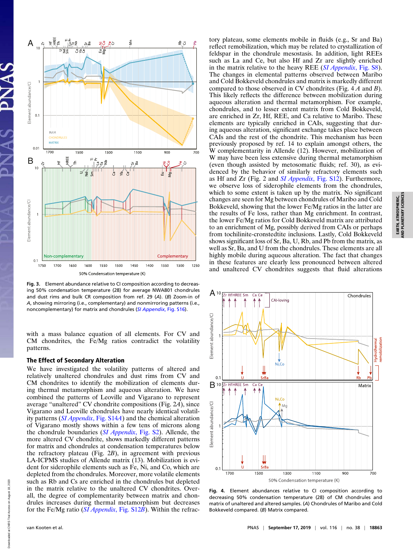

**Fig. 3.** Element abundance relative to CI composition according to decreasing 50% condensation temperature (28) for average NWA801 chondrules and dust rims and bulk CR composition from ref. 29 (*A*). (*B*) Zoom-in of *A*, showing mirroring (i.e., complementary) and nonmirroring patterns (i.e., noncomplementary) for matrix and chondrules (*[SI Appendix](https://www.pnas.org/lookup/suppl/doi:10.1073/pnas.1907592116/-/DCSupplemental)*, Fig. S16).

with a mass balance equation of all elements. For CV and CM chondrites, the Fe/Mg ratios contradict the volatility patterns.

#### The Effect of Secondary Alteration

We have investigated the volatility patterns of altered and relatively unaltered chondrules and dust rims from CV and CM chondrites to identify the mobilization of elements during thermal metamorphism and aqueous alteration. We have combined the patterns of Leoville and Vigarano to represent average "unaltered" CV chondrite compositions (Fig. 2*A*), since Vigarano and Leoville chondrules have nearly identical volatility patterns (*[SI Appendix](https://www.pnas.org/lookup/suppl/doi:10.1073/pnas.1907592116/-/DCSupplemental)*, Fig. S14*A*) and the chemical alteration of Vigarano mostly shows within a few tens of microns along the chondrule boundaries (*[SI Appendix](https://www.pnas.org/lookup/suppl/doi:10.1073/pnas.1907592116/-/DCSupplemental)*, Fig. S2). Allende, the more altered CV chondrite, shows markedly different patterns for matrix and chondrules at condensation temperatures below the refractory plateau (Fig. 2*B*), in agreement with previous LA-ICPMS studies of Allende matrix (13). Mobilization is evident for siderophile elements such as Fe, Ni, and Co, which are depleted from the chondrules. Moreover, more volatile elements such as Rb and Cs are enriched in the chondrules but depleted in the matrix relative to the unaltered CV chondrites. Overall, the degree of complementarity between matrix and chondrules increases during thermal metamorphism but decreases for the Fe/Mg ratio (*[SI Appendix](https://www.pnas.org/lookup/suppl/doi:10.1073/pnas.1907592116/-/DCSupplemental)*, Fig. S12*B*). Within the refrac-

tory plateau, some elements mobile in fluids (e.g., Sr and Ba) reflect remobilization, which may be related to crystallization of feldspar in the chondrule mesostasis. In addition, light REEs such as La and Ce, but also Hf and Zr are slightly enriched in the matrix relative to the heavy REE (*[SI Appendix](https://www.pnas.org/lookup/suppl/doi:10.1073/pnas.1907592116/-/DCSupplemental)*, Fig. S8). The changes in elemental patterns observed between Maribo and Cold Bokkeveld chondrules and matrix is markedly different compared to those observed in CV chondrites (Fig. 4 *A* and *B*). This likely reflects the difference between mobilization during aqueous alteration and thermal metamorphism. For example, chondrules, and to lesser extent matrix from Cold Bokkeveld, are enriched in Zr, Hf, REE, and Ca relative to Maribo. These elements are typically enriched in CAIs, suggesting that during aqueous alteration, significant exchange takes place between CAIs and the rest of the chondrite. This mechanism has been previously proposed by ref. 14 to explain amongst others, the W complementarity in Allende (12). However, mobilization of W may have been less extensive during thermal metamorphism (even though assisted by metosomatic fluids; ref. 30), as evidenced by the behavior of similarly refractory elements such as Hf and Zr (Fig. 2 and *[SI Appendix](https://www.pnas.org/lookup/suppl/doi:10.1073/pnas.1907592116/-/DCSupplemental)*, Fig. S12). Furthermore, we observe loss of siderophile elements from the chondrules, which to some extent is taken up by the matrix. No significant changes are seen for Mg between chondrules of Maribo and Cold Bokkeveld, showing that the lower Fe/Mg ratios in the latter are the results of Fe loss, rather than Mg enrichment. In contrast, the lower Fe/Mg ratios for Cold Bokkeveld matrix are attributed to an enrichment of Mg, possibly derived from CAIs or perhaps from tochilinite-cronstedtite inclusions. Lastly, Cold Bokkeveld shows significant loss of Sr, Ba, U, Rb, and Pb from the matrix, as well as Sr, Ba, and U from the chondrules. These elements are all highly mobile during aqueous alteration. The fact that changes in these features are clearly less pronounced between altered and unaltered CV chondrites suggests that fluid alterations



**Fig. 4.** Element abundances relative to CI composition according to decreasing 50% condensation temperature (28) of CM chondrules and matrix of unaltered and altered samples. (*A*) Chondrules of Maribo and Cold Bokkeveld compared. (*B*) Matrix compared.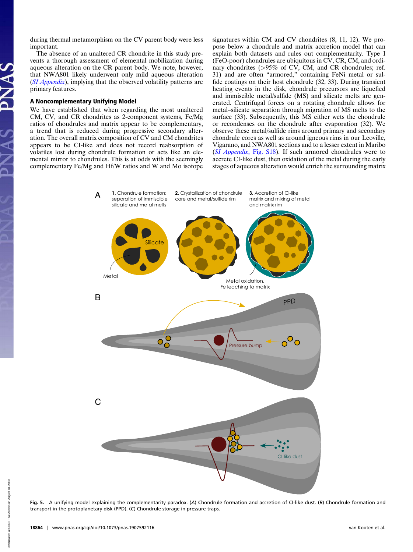during thermal metamorphism on the CV parent body were less important.

The absence of an unaltered CR chondrite in this study prevents a thorough assessment of elemental mobilization during aqueous alteration on the CR parent body. We note, however, that NWA801 likely underwent only mild aqueous alteration (*[SI Appendix](https://www.pnas.org/lookup/suppl/doi:10.1073/pnas.1907592116/-/DCSupplemental)*), implying that the observed volatility patterns are primary features.

#### A Noncomplementary Unifying Model

We have established that when regarding the most unaltered CM, CV, and CR chondrites as 2-component systems, Fe/Mg ratios of chondrules and matrix appear to be complementary, a trend that is reduced during progressive secondary alteration. The overall matrix composition of CV and CM chondrites appears to be CI-like and does not record reabsorption of volatiles lost during chondrule formation or acts like an elemental mirror to chondrules. This is at odds with the seemingly complementary Fe/Mg and Hf/W ratios and W and Mo isotope signatures within CM and CV chondrites (8, 11, 12). We propose below a chondrule and matrix accretion model that can explain both datasets and rules out complementarity. Type I (FeO-poor) chondrules are ubiquitous in CV, CR, CM, and ordinary chondrites (>95% of CV, CM, and CR chondrules; ref. 31) and are often "armored," containing FeNi metal or sulfide coatings on their host chondrule (32, 33). During transient heating events in the disk, chondrule precursors are liquefied and immiscible metal/sulfide (MS) and silicate melts are generated. Centrifugal forces on a rotating chondrule allows for metal–silicate separation through migration of MS melts to the surface (33). Subsequently, this MS either wets the chondrule or recondenses on the chondrule after evaporation (32). We observe these metal/sulfide rims around primary and secondary chondrule cores as well as around igneous rims in our Leoville, Vigarano, and NWA801 sections and to a lesser extent in Maribo (*[SI Appendix](https://www.pnas.org/lookup/suppl/doi:10.1073/pnas.1907592116/-/DCSupplemental)*, Fig. S18). If such armored chondrules were to accrete CI-like dust, then oxidation of the metal during the early stages of aqueous alteration would enrich the surrounding matrix



**Fig. 5.** A unifying model explaining the complementarity paradox. (*A*) Chondrule formation and accretion of CI-like dust. (*B*) Chondrule formation and transport in the protoplanetary disk (PPD). (*C*) Chondrule storage in pressure traps.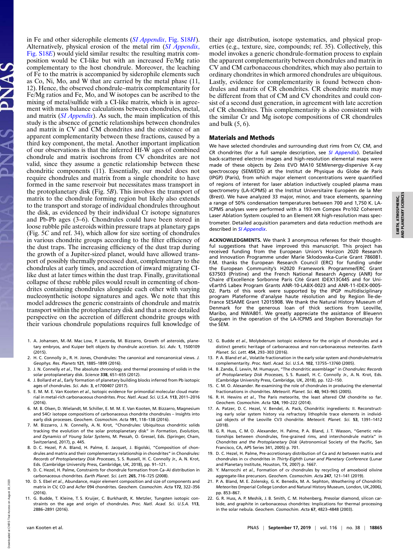in Fe and other siderophile elements (*[SI Appendix](https://www.pnas.org/lookup/suppl/doi:10.1073/pnas.1907592116/-/DCSupplemental)*, Fig. S18*H*). Alternatively, physical erosion of the metal rim (*[SI Appendix](https://www.pnas.org/lookup/suppl/doi:10.1073/pnas.1907592116/-/DCSupplemental)*, [Fig. S18](https://www.pnas.org/lookup/suppl/doi:10.1073/pnas.1907592116/-/DCSupplemental)*E*) would yield similar results: the resulting matrix composition would be CI-like but with an increased Fe/Mg ratio complementary to the host chondrule. Moreover, the leaching of Fe to the matrix is accompanied by siderophile elements such as Co, Ni, Mo, and W that are carried by the metal phase (11, 12). Hence, the observed chondrule–matrix complementarity for Fe/Mg ratios and Fe, Mo, and W isotopes can be ascribed to the mixing of metal/sulfide with a CI-like matrix, which is in agreement with mass balance calculations between chondrules, metal, and matrix (*[SI Appendix](https://www.pnas.org/lookup/suppl/doi:10.1073/pnas.1907592116/-/DCSupplemental)*). As such, the main implication of this study is the absence of genetic relationships between chondrules and matrix in CV and CM chondrites and the existence of an apparent complementarity between these fractions, caused by a third key component, the metal. Another important implication of our observations is that the inferred Hf-W ages of combined chondrule and matrix isochrons from CV chondrites are not valid, since they assume a genetic relationship between these chondritic components (11). Essentially, our model does not require chondrules and matrix from a single chondrite to have formed in the same reservoir but necessitates mass transport in the protoplanetary disk (Fig. 5*B*). This involves the transport of matrix to the chondrule forming region but likely also extends to the transport and storage of individual chondrules throughout the disk, as evidenced by their individual Cr isotope signatures and Pb-Pb ages (3–6). Chondrules could have been stored in loose rubble pile asteroids within pressure traps at planetary gaps (Fig. 5*C* and ref. 34), which allow for size sorting of chondrules in various chondrite groups according to the filter efficiency of the dust traps. The increasing efficiency of the dust trap during the growth of a Jupiter-sized planet, would have allowed transport of possibly thermally processed dust, complementary to the chondrules at early times, and accretion of inward migrating CIlike dust at later times within the dust trap. Finally, gravitational collapse of these rubble piles would result in cementing of chondrites containing chondrules alongside each other with varying nucleosynthetic isotope signatures and ages. We note that this model addresses the generic constraints of chondrule and matrix transport within the protoplanetary disk and that a more detailed perspective on the accretion of different chondrite groups with their various chondrule populations requires full knowledge of

- 1. A. Johansen, M.-M. Mac Low, P. Lacerda, M. Bizzarro, Growth of asteroids, planetary embryos, and Kuiper belt objects by chondrule accretion. *Sci. Adv.* **1**, 1500109 (2015).
- 2. H. C. Connolly Jr., R. H. Jones, Chondrules: The canonical and noncanonical views. *J. Geophys. Res. Planets* **121**, 1885–1899 (2016).
- 3. J. N. Connelly *et al.*, The absolute chronology and thermal processing of solids in the solar protoplanetary disk. *Science* **338**, 651–655 (2012).
- 4. J. Bollard *et al.*, Early formation of planetary building blocks inferred from Pb isotopic ages of chondrules. *Sci. Adv.* **3**, e1700407 (2017).
- 5. E. M. M. E. Van Kooten *et al.*, Isotopic evidence for primordial molecular cloud material in metal-rich carbonaceous chondrites. *Proc. Natl. Acad. Sci. U.S.A.* **113**, 2011–2016 (2016).
- 6. M. B. Olsen, D. Wielandt, M. Schiller, E. M. M. E. Van Kooten, M. Bizzarro, Magnesium and 54Cr isotope compositions of carbonaceous chondrite chondrules – Insights into early disk processes. *Geochem. Cosmochim. Acta* **191**, 118–138 (2016).
- 7. M. Bizzarro, J. N. Connelly, A. N. Krot, "Chondrules: Ubiquitous chondritic solids tracking the evolution of the solar protoplanetary disk" in *Formation, Evolution, and Dynamics of Young Solar Systems*, M. Pessah, O. Gressel, Eds. (Springer, Cham, Switzerland, 2017), p. 445.
- 8. D. C. Hezel, P. A. Bland, H. Palme, E. Jacquet, J. Bigolski, "Composition of chondrules and matrix and their complementary relationship in chondrites" in *Chondrules: Records of Protoplanetary Disk Processes*, S. S. Russell, H. C. Connolly Jr., A. N. Krot, Eds. (Cambridge University Press, Cambridge, UK, 2018), pp. 91–121.
- 9. D. C. Hezel, H. Palme, Constraints for chondrule formation from Ca–AI distribution in carbonaceous chondrites. *Earth Planet. Sci. Lett.* **265**, 716–725 (2008).
- 10. D. S. Ebel *et al.*, Abundance, major element composition and size of components and matrix in CV, CO and Acfer 094 chondrites. *Geochem. Cosmochim. Acta* **172**, 322–356 (2016).
- 11. G. Budde, T. Kleine, T. S. Kruijer, C. Burkhardt, K. Metzler, Tungsten isotopic constraints on the age and origin of chondrules. *Proc. Natl. Acad. Sci. U.S.A.* **113**, 2886–2891 (2016).

their age distribution, isotope systematics, and physical properties (e.g., texture, size, compounds; ref. 35). Collectively, this model invokes a generic chondrule-formation process to explain the apparent complementarity between chondrules and matrix in CV and CM carbonaceous chondrites, which may also pertain to ordinary chondrites in which armored chondrules are ubiquitous. Lastly, evidence for complementarity is found between chondrules and matrix of CR chondrites. CR chondrite matrix may be different from that of CM and CV chondrites and could consist of a second dust generation, in agreement with late accretion of CR chondrites. This complementarity is also consistent with the similar Cr and Mg isotope compositions of CR chondrules and bulk  $(5, 6)$ .

#### Materials and Methods

We have selected chondrules and surrounding dust rims from CV, CM, and CR chondrites (for a full sample description, see *[SI Appendix](https://www.pnas.org/lookup/suppl/doi:10.1073/pnas.1907592116/-/DCSupplemental)*). Detailed back-scattered electron images and high-resolution elemental maps were made of these objects by Zeiss EVO MA10 SEM/energy-dispersive X-ray spectroscopy (SEM/EDS) at the Institut de Physique du Globe de Paris (IPGP) (Paris), from which major element concentrations were quantified of regions of interest for laser ablation inductively coupled plasma mass spectrometry (LA-ICPMS) at the Institut Universitaire Européen de la Mer (Brest). We have analyzed 33 major, minor, and trace elements, spanning a range of 50% condensation temperatures between 700 and 1,750 K. LA-ICPMS analyses were performed with a 193-nm Compex Pro102 Coherent Laser Ablation System coupled to an Element XR high-resolution mass spectrometer. Detailed acquisition parameters and data reduction methods are described in *[SI Appendix](https://www.pnas.org/lookup/suppl/doi:10.1073/pnas.1907592116/-/DCSupplemental)*.

**ACKNOWLEDGMENTS.** We thank 3 anonymous referees for their thoughtful suggestions that have improved this manuscript. This project has received funding from the European Union's Horizon 2020 Research and Innovation Programme under Marie Skłodowska-Curie Grant 786081. F.M. thanks the European Research Council (ERC) for funding under the European Community's H2020 Framework Programme/ERC Grant 637503 (Pristine) and the French National Research Agency (ANR) for Chaire d'Excellence Sorbonne Paris Cité Grant IDEX13C445 and for UnivEarthS Labex Program Grants ANR-10-LABX-0023 and ANR-11-IDEX-0005- 02. Parts of this work were supported by the IPGP multidisciplinary program Plateforme d'analyse haute résolution and by Region Île-de-France SESAME Grant 12015908. We thank the Natural History Museum of Denmark for the generous loan of thick sections from Leoville, Maribo, and NWA801. We greatly appreciate the assistance of Bleuenn Gueguen in the operation of the LA-ICPMS and Stephen Borensztajn for the SEM.

- 12. G. Budde *et al.*, Molybdenum isotopic evidence for the origin of chondrules and a distinct genetic heritage of carbonaceous and non-carbonaceous meteorites. *Earth Planet. Sci. Lett.* **454**, 293–303 (2016).
- 13. P. A. Bland *et al.*, Volatile fractionation in the early solar system and chondrule/matrix complementarity. *Proc. Natl. Acad. Sci. U.S.A.* **102**, 13755–13760 (2005).
- 14. B. Zanda, É. Lewin, M. Humayun, "The chondritic assemblage" in *Chondrules: Records of Protoplanetary Disk Processes*, S. S. Russell, H. C. Connolly Jr., A. N. Krot, Eds. (Cambridge University Press, Cambridge, UK, 2018), pp. 122–150.
- 15. C. M. O. Alexander. Re-examining the role of chondrules in producing the elemental fractionations in chondrites. *Meteorit. Planet. Sci.* **40**, 943–965 (2005).
- 16. R. H. Hewins *et al.*, The Paris meteorite, the least altered CM chondrite so far. *Geochem. Cosmochim. Acta* **124**, 190–222 (2014).
- 17. A. Patzer, D. C. Hezel, V. Bendel, A. Pack, Chondritic ingredients: II. Reconstructing early solar system history via refractory lithophile trace elements in individual objects of the Leoville CV3 chondrite. *Meteorit. Planet. Sci.* **53**, 1391–1412 (2018).
- 18. G. R. Huss, C. M. O. Alexander, H. Palme, P. A. Bland, J. T. Wasson, "Genetic relationships between chondrules, fine-grained rims, and interchondrule matrix" in *Chondrites and the Protoplanetary Disk* (Astronomical Society of the Pacific, San Francisco, CA, APS Series 341, 2005) p. 701.
- 19. D. C. Hezel, H. Palme, Pre-accretionary distribution of Ca and AI between matrix and chondrules in cv chondrites in *Thirty-Eighth Lunar and Planetary Conference* (Lunar and Planetary Institute, Houston, TX, 2007) p. 1667.
- 20. Y. Marrocchi *et al.*, Formation of cv chondrules by recycling of amoeboid olivine aggregate-like precursors. *Geochem. Cosmochim. Acta* **247**, 121–141 (2019).
- 21. P. A. Bland, M. E. Zolensky, G. K. Benedix, M. A. Sephton, *Weathering of Chondritic Meteorites* (Imperial College London and Natural History Museum, London, UK,2006), pp. 853–867.
- 22. G. R. Huss, A. P. Meshik, J. B. Smith, C. M. Hohenberg, Presolar diamond, silicon carbide, and graphite in carbonaceous chondrites: Implications for thermal processing in the solar nebula. *Geochem. Cosmochim. Acta* **67**, 4823–4848 (2003).